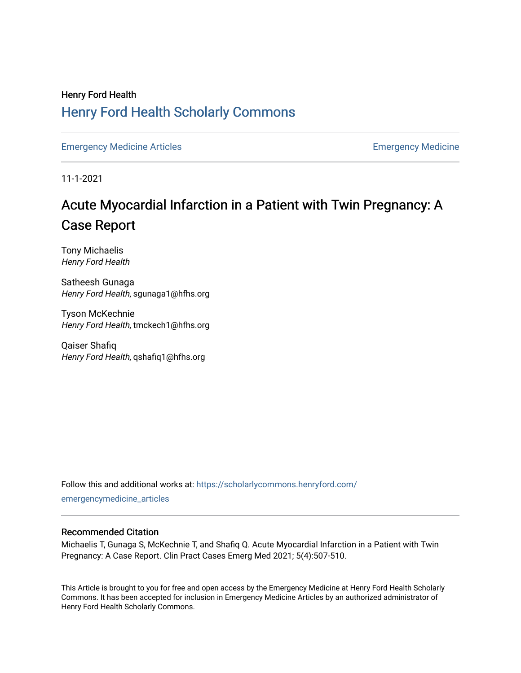# Henry Ford Health [Henry Ford Health Scholarly Commons](https://scholarlycommons.henryford.com/)

[Emergency Medicine Articles](https://scholarlycommons.henryford.com/emergencymedicine_articles) **Emergency Medicine** 

11-1-2021

# Acute My ocardial Infarction in a Patient with Twin Pregnancy: A Case Report

Tony Michaelis Henry Ford Health

Satheesh Gunaga Henry Ford Health, sgunaga1@hfhs.org

Tyson McKechnie Henry Ford Health, tmckech1@hfhs.org

Qaiser Shafiq Henry Ford Health, qshafiq1@hfhs.org

Follow this and additional works at: [https://scholarlycommons.henryford.com/](https://scholarlycommons.henryford.com/emergencymedicine_articles?utm_source=scholarlycommons.henryford.com%2Femergencymedicine_articles%2F245&utm_medium=PDF&utm_campaign=PDFCoverPages) [emergencymedicine\\_articles](https://scholarlycommons.henryford.com/emergencymedicine_articles?utm_source=scholarlycommons.henryford.com%2Femergencymedicine_articles%2F245&utm_medium=PDF&utm_campaign=PDFCoverPages) 

#### Recommended Citation

Michaelis T, Gunaga S, McKechnie T, and Shafiq Q. Acute Myocardial Infarction in a Patient with Twin Pregnancy: A Case Report. Clin Pract Cases Emerg Med 2021; 5(4):507-510.

This Article is brought to you for free and open access by the Emergency Medicine at Henry Ford Health Scholarly Commons. It has been accepted for inclusion in Emergency Medicine Articles by an authorized administrator of Henry Ford Health Scholarly Commons.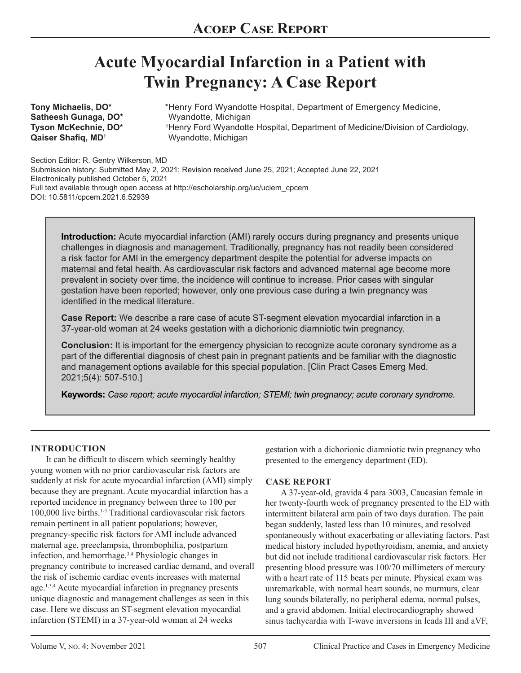# **Acute Myocardial Infarction in a Patient with Twin Pregnancy: A Case Report**

**Tony Michaelis, DO\* Satheesh Gunaga, DO\* Tyson McKechnie, DO\* Qaiser Shafiq, MD**†

Henry Ford Wyandotte Hospital, Department of Emergency Medicine, \* Wyandotte, Michigan Henry Ford Wyandotte Hospital, Department of Medicine/Division of Cardiology, † Wyandotte, Michigan

Section Editor: R. Gentry Wilkerson, MD Submission history: Submitted May 2, 2021; Revision received June 25, 2021; Accepted June 22, 2021 Electronically published October 5, 2021 Full text available through open access at http://escholarship.org/uc/uciem\_cpcem DOI: 10.5811/cpcem.2021.6.52939

**Introduction:** Acute myocardial infarction (AMI) rarely occurs during pregnancy and presents unique challenges in diagnosis and management. Traditionally, pregnancy has not readily been considered a risk factor for AMI in the emergency department despite the potential for adverse impacts on maternal and fetal health. As cardiovascular risk factors and advanced maternal age become more prevalent in society over time, the incidence will continue to increase. Prior cases with singular gestation have been reported; however, only one previous case during a twin pregnancy was identified in the medical literature.

**Case Report:** We describe a rare case of acute ST-segment elevation myocardial infarction in a 37-year-old woman at 24 weeks gestation with a dichorionic diamniotic twin pregnancy.

**Conclusion:** It is important for the emergency physician to recognize acute coronary syndrome as a part of the differential diagnosis of chest pain in pregnant patients and be familiar with the diagnostic and management options available for this special population. [Clin Pract Cases Emerg Med. 2021;5(4): 507-510.]

**Keywords:** *Case report; acute myocardial infarction; STEMI; twin pregnancy; acute coronary syndrome.*

#### **INTRODUCTION**

It can be difficult to discern which seemingly healthy young women with no prior cardiovascular risk factors are suddenly at risk for acute myocardial infarction (AMI) simply because they are pregnant. Acute myocardial infarction has a reported incidence in pregnancy between three to 100 per 100,000 live births.<sup>1-3</sup> Traditional cardiovascular risk factors remain pertinent in all patient populations; however, pregnancy-specific risk factors for AMI include advanced maternal age, preeclampsia, thrombophilia, postpartum infection, and hemorrhage.3,4 Physiologic changes in pregnancy contribute to increased cardiac demand, and overall the risk of ischemic cardiac events increases with maternal age.<sup>1,3,4</sup> Acute myocardial infarction in pregnancy presents unique diagnostic and management challenges as seen in this case. Here we discuss an ST-segment elevation myocardial infarction (STEMI) in a 37-year-old woman at 24 weeks

gestation with a dichorionic diamniotic twin pregnancy who presented to the emergency department (ED).

#### **CASE REPORT**

A 37-year-old, gravida 4 para 3003, Caucasian female in her twenty-fourth week of pregnancy presented to the ED with intermittent bilateral arm pain of two days duration. The pain began suddenly, lasted less than 10 minutes, and resolved spontaneously without exacerbating or alleviating factors. Past medical history included hypothyroidism, anemia, and anxiety but did not include traditional cardiovascular risk factors. Her presenting blood pressure was 100/70 millimeters of mercury with a heart rate of 115 beats per minute. Physical exam was unremarkable, with normal heart sounds, no murmurs, clear lung sounds bilaterally, no peripheral edema, normal pulses, and a gravid abdomen. Initial electrocardiography showed sinus tachycardia with T-wave inversions in leads III and aVF,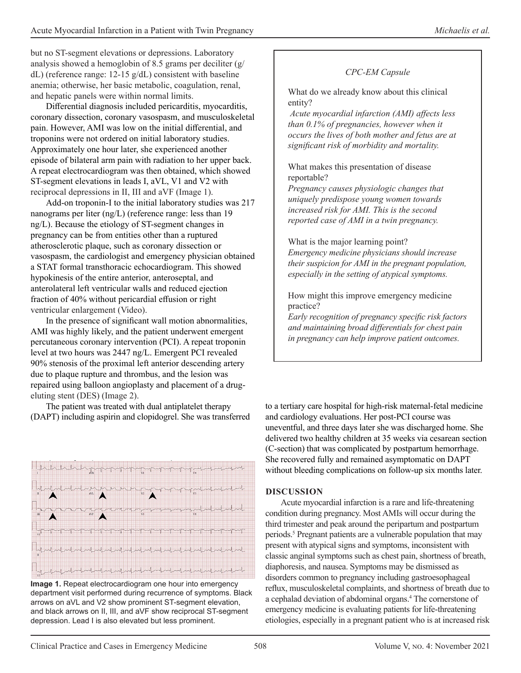but no ST-segment elevations or depressions. Laboratory analysis showed a hemoglobin of 8.5 grams per deciliter (g/ dL) (reference range: 12-15 g/dL) consistent with baseline anemia; otherwise, her basic metabolic, coagulation, renal, and hepatic panels were within normal limits.

Differential diagnosis included pericarditis, myocarditis, coronary dissection, coronary vasospasm, and musculoskeletal pain. However, AMI was low on the initial differential, and troponins were not ordered on initial laboratory studies. Approximately one hour later, she experienced another episode of bilateral arm pain with radiation to her upper back. A repeat electrocardiogram was then obtained, which showed ST-segment elevations in leads I, aVL, V1 and V2 with reciprocal depressions in II, III and aVF (Image 1).

Add-on troponin-I to the initial laboratory studies was 217 nanograms per liter (ng/L) (reference range: less than 19 ng/L). Because the etiology of ST-segment changes in pregnancy can be from entities other than a ruptured atherosclerotic plaque, such as coronary dissection or vasospasm, the cardiologist and emergency physician obtained a STAT formal transthoracic echocardiogram. This showed hypokinesis of the entire anterior, anteroseptal, and anterolateral left ventricular walls and reduced ejection fraction of 40% without pericardial effusion or right ventricular enlargement (Video).

In the presence of significant wall motion abnormalities, AMI was highly likely, and the patient underwent emergent percutaneous coronary intervention (PCI). A repeat troponin level at two hours was 2447 ng/L. Emergent PCI revealed 90% stenosis of the proximal left anterior descending artery due to plaque rupture and thrombus, and the lesion was repaired using balloon angioplasty and placement of a drugeluting stent (DES) (Image 2).

The patient was treated with dual antiplatelet therapy (DAPT) including aspirin and clopidogrel. She was transferred



**Image 1.** Repeat electrocardiogram one hour into emergency department visit performed during recurrence of symptoms. Black arrows on aVL and V2 show prominent ST-segment elevation, and black arrows on II, III, and aVF show reciprocal ST-segment depression. Lead I is also elevated but less prominent.

# *CPC-EM Capsule*

What do we already know about this clinical entity?

 *Acute myocardial infarction (AMI) affects less than 0.1% of pregnancies, however when it occurs the lives of both mother and fetus are at significant risk of morbidity and mortality.*

### What makes this presentation of disease reportable?

*Pregnancy causes physiologic changes that uniquely predispose young women towards increased risk for AMI. This is the second reported case of AMI in a twin pregnancy.*

What is the major learning point? *Emergency medicine physicians should increase their suspicion for AMI in the pregnant population, especially in the setting of atypical symptoms.*

How might this improve emergency medicine practice?

*Early recognition of pregnancy specific risk factors and maintaining broad differentials for chest pain in pregnancy can help improve patient outcomes.*

to a tertiary care hospital for high-risk maternal-fetal medicine and cardiology evaluations. Her post-PCI course was uneventful, and three days later she was discharged home. She delivered two healthy children at 35 weeks via cesarean section (C-section) that was complicated by postpartum hemorrhage. She recovered fully and remained asymptomatic on DAPT without bleeding complications on follow-up six months later.

## **DISCUSSION**

Acute myocardial infarction is a rare and life-threatening condition during pregnancy. Most AMIs will occur during the third trimester and peak around the peripartum and postpartum periods.<sup>5</sup> Pregnant patients are a vulnerable population that may present with atypical signs and symptoms, inconsistent with classic anginal symptoms such as chest pain, shortness of breath, diaphoresis, and nausea. Symptoms may be dismissed as disorders common to pregnancy including gastroesophageal reflux, musculoskeletal complaints, and shortness of breath due to a cephalad deviation of abdominal organs.<sup>4</sup> The cornerstone of emergency medicine is evaluating patients for life-threatening etiologies, especially in a pregnant patient who is at increased risk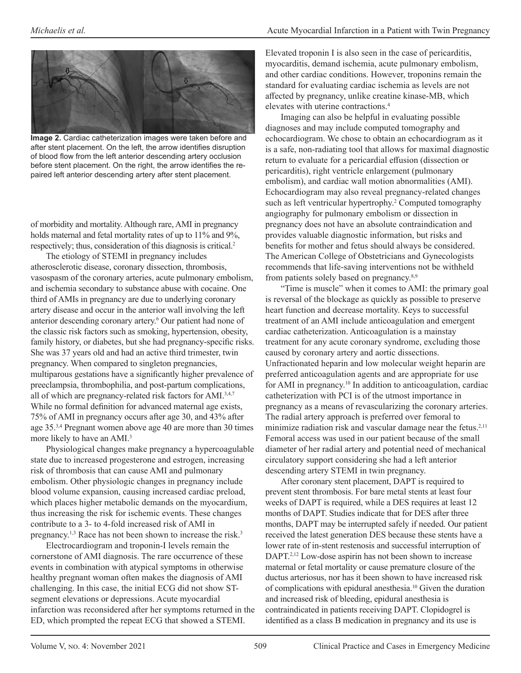

**Image 2.** Cardiac catheterization images were taken before and after stent placement. On the left, the arrow identifies disruption of blood flow from the left anterior descending artery occlusion before stent placement. On the right, the arrow identifies the repaired left anterior descending artery after stent placement.

of morbidity and mortality. Although rare, AMI in pregnancy holds maternal and fetal mortality rates of up to 11% and 9%, respectively; thus, consideration of this diagnosis is critical.<sup>2</sup>

The etiology of STEMI in pregnancy includes atherosclerotic disease, coronary dissection, thrombosis, vasospasm of the coronary arteries, acute pulmonary embolism, and ischemia secondary to substance abuse with cocaine. One third of AMIs in pregnancy are due to underlying coronary artery disease and occur in the anterior wall involving the left anterior descending coronary artery.6 Our patient had none of the classic risk factors such as smoking, hypertension, obesity, family history, or diabetes, but she had pregnancy-specific risks. She was 37 years old and had an active third trimester, twin pregnancy. When compared to singleton pregnancies, multiparous gestations have a significantly higher prevalence of preeclampsia, thrombophilia, and post-partum complications, all of which are pregnancy-related risk factors for AMI.3,4,7 While no formal definition for advanced maternal age exists, 75% of AMI in pregnancy occurs after age 30, and 43% after age 35.3,4 Pregnant women above age 40 are more than 30 times more likely to have an AMI.<sup>3</sup>

Physiological changes make pregnancy a hypercoagulable state due to increased progesterone and estrogen, increasing risk of thrombosis that can cause AMI and pulmonary embolism. Other physiologic changes in pregnancy include blood volume expansion, causing increased cardiac preload, which places higher metabolic demands on the myocardium, thus increasing the risk for ischemic events. These changes contribute to a 3- to 4-fold increased risk of AMI in pregnancy.<sup>1,3</sup> Race has not been shown to increase the risk.<sup>3</sup>

Electrocardiogram and troponin-I levels remain the cornerstone of AMI diagnosis. The rare occurrence of these events in combination with atypical symptoms in otherwise healthy pregnant woman often makes the diagnosis of AMI challenging. In this case, the initial ECG did not show STsegment elevations or depressions. Acute myocardial infarction was reconsidered after her symptoms returned in the ED, which prompted the repeat ECG that showed a STEMI.

Elevated troponin I is also seen in the case of pericarditis, myocarditis, demand ischemia, acute pulmonary embolism, and other cardiac conditions. However, troponins remain the standard for evaluating cardiac ischemia as levels are not affected by pregnancy, unlike creatine kinase-MB, which elevates with uterine contractions.<sup>4</sup>

Imaging can also be helpful in evaluating possible diagnoses and may include computed tomography and echocardiogram. We chose to obtain an echocardiogram as it is a safe, non-radiating tool that allows for maximal diagnostic return to evaluate for a pericardial effusion (dissection or pericarditis), right ventricle enlargement (pulmonary embolism), and cardiac wall motion abnormalities (AMI). Echocardiogram may also reveal pregnancy-related changes such as left ventricular hypertrophy.<sup>2</sup> Computed tomography angiography for pulmonary embolism or dissection in pregnancy does not have an absolute contraindication and provides valuable diagnostic information, but risks and benefits for mother and fetus should always be considered. The American College of Obstetricians and Gynecologists recommends that life-saving interventions not be withheld from patients solely based on pregnancy.8,9

"Time is muscle" when it comes to AMI: the primary goal is reversal of the blockage as quickly as possible to preserve heart function and decrease mortality. Keys to successful treatment of an AMI include anticoagulation and emergent cardiac catheterization. Anticoagulation is a mainstay treatment for any acute coronary syndrome, excluding those caused by coronary artery and aortic dissections. Unfractionated heparin and low molecular weight heparin are preferred anticoagulation agents and are appropriate for use for AMI in pregnancy.10 In addition to anticoagulation, cardiac catheterization with PCI is of the utmost importance in pregnancy as a means of revascularizing the coronary arteries. The radial artery approach is preferred over femoral to minimize radiation risk and vascular damage near the fetus.<sup>2,11</sup> Femoral access was used in our patient because of the small diameter of her radial artery and potential need of mechanical circulatory support considering she had a left anterior descending artery STEMI in twin pregnancy.

After coronary stent placement, DAPT is required to prevent stent thrombosis. For bare metal stents at least four weeks of DAPT is required, while a DES requires at least 12 months of DAPT. Studies indicate that for DES after three months, DAPT may be interrupted safely if needed. Our patient received the latest generation DES because these stents have a lower rate of in-stent restenosis and successful interruption of DAPT.<sup>2,12</sup> Low-dose aspirin has not been shown to increase maternal or fetal mortality or cause premature closure of the ductus arteriosus, nor has it been shown to have increased risk of complications with epidural anesthesia.<sup>10</sup> Given the duration and increased risk of bleeding, epidural anesthesia is contraindicated in patients receiving DAPT. Clopidogrel is identified as a class B medication in pregnancy and its use is